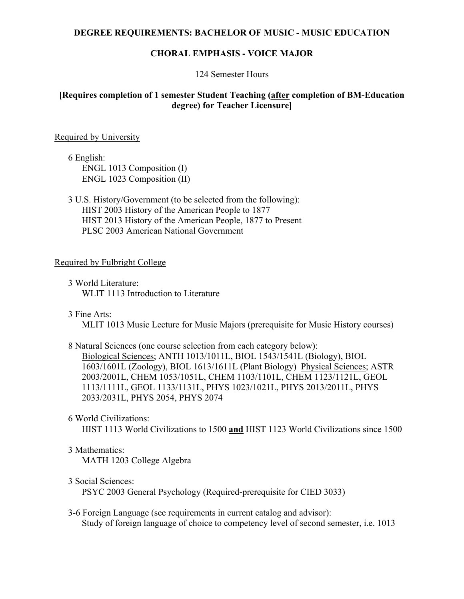#### **DEGREE REQUIREMENTS: BACHELOR OF MUSIC - MUSIC EDUCATION**

### **CHORAL EMPHASIS - VOICE MAJOR**

#### 124 Semester Hours

## **[Requires completion of 1 semester Student Teaching (after completion of BM-Education degree) for Teacher Licensure]**

#### Required by University

6 English: ENGL 1013 Composition (I) ENGL 1023 Composition (II)

3 U.S. History/Government (to be selected from the following): HIST 2003 History of the American People to 1877 HIST 2013 History of the American People, 1877 to Present PLSC 2003 American National Government

### Required by Fulbright College

- 3 World Literature: WLIT 1113 Introduction to Literature
- 3 Fine Arts:

MLIT 1013 Music Lecture for Music Majors (prerequisite for Music History courses)

- 8 Natural Sciences (one course selection from each category below): Biological Sciences; ANTH 1013/1011L, BIOL 1543/1541L (Biology), BIOL 1603/1601L (Zoology), BIOL 1613/1611L (Plant Biology) Physical Sciences; ASTR 2003/2001L, CHEM 1053/1051L, CHEM 1103/1101L, CHEM 1123/1121L, GEOL 1113/1111L, GEOL 1133/1131L, PHYS 1023/1021L, PHYS 2013/2011L, PHYS 2033/2031L, PHYS 2054, PHYS 2074
- 6 World Civilizations:

HIST 1113 World Civilizations to 1500 **and** HIST 1123 World Civilizations since 1500

3 Mathematics:

MATH 1203 College Algebra

3 Social Sciences:

PSYC 2003 General Psychology (Required-prerequisite for CIED 3033)

3-6 Foreign Language (see requirements in current catalog and advisor): Study of foreign language of choice to competency level of second semester, i.e. 1013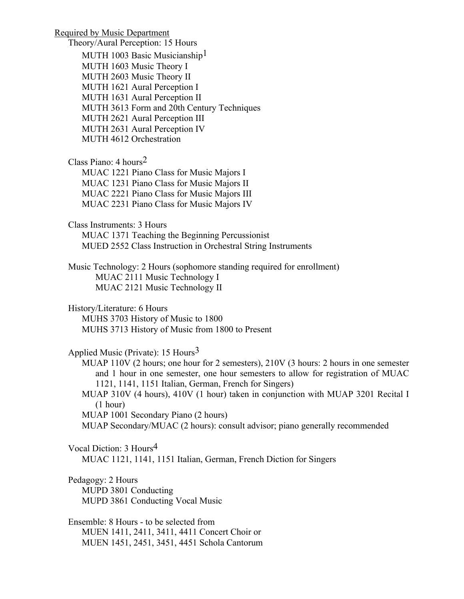Required by Music Department Theory/Aural Perception: 15 Hours MUTH 1003 Basic Musicianship<sup>1</sup> MUTH 1603 Music Theory I MUTH 2603 Music Theory II MUTH 1621 Aural Perception I MUTH 1631 Aural Perception II MUTH 3613 Form and 20th Century Techniques MUTH 2621 Aural Perception III MUTH 2631 Aural Perception IV MUTH 4612 Orchestration Class Piano: 4 hours2 MUAC 1221 Piano Class for Music Majors I MUAC 1231 Piano Class for Music Majors II MUAC 2221 Piano Class for Music Majors III MUAC 2231 Piano Class for Music Majors IV Class Instruments: 3 Hours MUAC 1371 Teaching the Beginning Percussionist MUED 2552 Class Instruction in Orchestral String Instruments Music Technology: 2 Hours (sophomore standing required for enrollment) MUAC 2111 Music Technology I MUAC 2121 Music Technology II History/Literature: 6 Hours MUHS 3703 History of Music to 1800 MUHS 3713 History of Music from 1800 to Present Applied Music (Private): 15 Hours<sup>3</sup> MUAP 110V (2 hours; one hour for 2 semesters), 210V (3 hours: 2 hours in one semester and 1 hour in one semester, one hour semesters to allow for registration of MUAC 1121, 1141, 1151 Italian, German, French for Singers) MUAP 310V (4 hours), 410V (1 hour) taken in conjunction with MUAP 3201 Recital I (1 hour) MUAP 1001 Secondary Piano (2 hours) MUAP Secondary/MUAC (2 hours): consult advisor; piano generally recommended Vocal Diction: 3 Hours4 MUAC 1121, 1141, 1151 Italian, German, French Diction for Singers Pedagogy: 2 Hours MUPD 3801 Conducting MUPD 3861 Conducting Vocal Music Ensemble: 8 Hours - to be selected from MUEN 1411, 2411, 3411, 4411 Concert Choir or MUEN 1451, 2451, 3451, 4451 Schola Cantorum